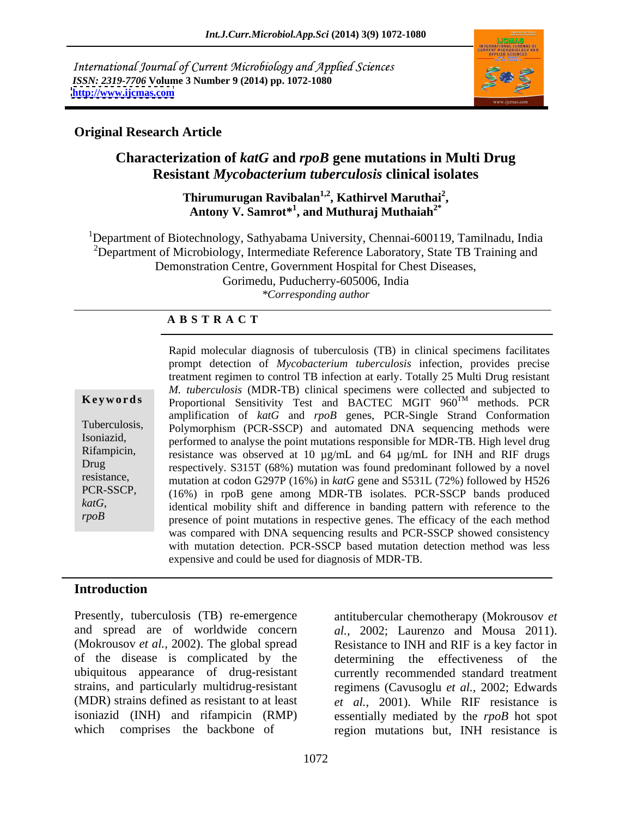International Journal of Current Microbiology and Applied Sciences *ISSN: 2319-7706* **Volume 3 Number 9 (2014) pp. 1072-1080 <http://www.ijcmas.com>**



# **Original Research Article**

# **Characterization of** *katG* **and** *rpoB* **gene mutations in Multi Drug Resistant** *Mycobacterium tuberculosis* **clinical isolates**

Thirumurugan Ravibalan<sup>1,2</sup>, Kathirvel Maruthai<sup>2</sup>, 'hirumurugan Ravibalan<sup>1,2</sup>, Kathirvel Maruthai<sup>2</sup>,<br>Antony V. Samrot\*<sup>1</sup>, and Muthuraj Muthaiah<sup>2\*</sup>

<sup>1</sup>Department of Biotechnology, Sathyabama University, Chennai-600119, Tamilnadu, India <sup>2</sup>Department of Microbiology, Intermediate Reference Laboratory, State TB Training and Demonstration Centre, Government Hospital for Chest Diseases, Gorimedu, Puducherry-605006, India *\*Corresponding author* 

### **A B S T R A C T**

*katG*,

**Ke ywo rds** Proportional Sensitivity Test and BACTEC MGIT 960TM methods. PCR Tuberculosis, Polymorphism (PCR-SSCP) and automated DNA sequencing methods were Isoniazid, performed to analyse the point mutations responsible for MDR-TB. High level drug Rifampicin, resistance was observed at 10  $\mu$ g/mL and 64  $\mu$ g/mL for INH and RIF drugs Drug respectively. S315T (68%) mutation was found predominant followed by a novel resistance,<br>
mutation at codon G297P (16%) in *katG* gene and S531L (72%) followed by H526 PCR-SSCP, (16%) in rpoB gene among MDR-TB isolates. PCR-SSCP bands produced *rpoB*presence of point mutations in respective genes. The efficacy of the each method Rapid molecular diagnosis of tuberculosis (TB) in clinical specimens facilitates prompt detection of *Mycobacterium tuberculosis* infection, provides precise treatment regimen to control TB infection at early. Totally 25 Multi Drug resistant *M. tuberculosis* (MDR-TB) clinical specimens were collected and subjected to amplification of *katG* and *rpoB* genes, PCR-Single Strand Conformation identical mobility shift and difference in banding pattern with reference to the was compared with DNA sequencing results and PCR-SSCP showed consistency with mutation detection. PCR-SSCP based mutation detection method was less expensive and could be used for diagnosis of MDR-TB.

# **Introduction**

Presently, tuberculosis (TB) re-emergence antitubercular chemotherapy (Mokrousov *et*  (Mokrousov *et al.,* 2002). The global spread of the disease is complicated by the

and spread are of worldwide concern *al.,* 2002; Laurenzo and Mousa 2011). ubiquitous appearance of drug-resistant currently recommended standard treatment strains, and particularly multidrug-resistant regimens (Cavusoglu *et al.,* 2002; Edwards (MDR) strains defined as resistant to at least *et al.,* 2001). While RIF resistance is isoniazid (INH) and rifampicin (RMP) essentially mediated by the *rpoB* hot spot which comprises the backbone of region mutations but, INH resistance is Resistance to INH and RIF is a key factor in determining the effectiveness of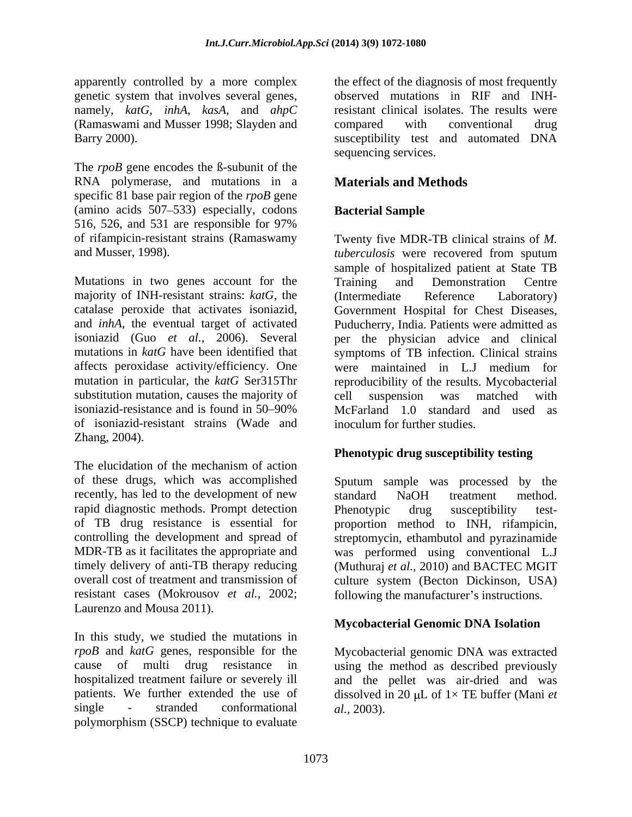genetic system that involves several genes, namely, *katG*, *inhA*, *kasA*, and *ahpC*  (Ramaswami and Musser 1998; Slayden and

The *rpoB* gene encodes the ß-subunit of the RNA polymerase, and mutations in a specific 81 base pair region of the *rpoB* gene (amino acids 507–533) especially, codons **Bacterial Sample** 516, 526, and 531 are responsible for 97% of rifampicin-resistant strains (Ramaswamy Twenty five MDR-TB clinical strains of M. and Musser, 1998). *tuberculosis* were recovered from sputum

Mutations in two genes account for the Training and Demonstration Centre majority of INH-resistant strains: *katG*, the affects peroxidase activity/efficiency. One were maintained in L.J medium for substitution mutation, causes the majority of eell suspension was matched with of isoniazid-resistant strains (Wade and Zhang, 2004).

The elucidation of the mechanism of action recently, has led to the development of new standard NaOH treatment method. rapid diagnostic methods. Prompt detection<br>of TB drug resistance is essential for the proportion method to INH, rifampicin, Laurenzo and Mousa 2011).

In this study, we studied the mutations in  $rpoB$  and  $katG$  genes, responsible for the *rpoB* and *katG* genes, responsible for the Mycobacterial genomic DNA was extracted cause of multi drug resistance in using the method as described previously hospitalized treatment failure or severely ill and the pellet was air-dried and was patients. We further extended the use of dissolved in 20  $\mu$ L of  $1 \times$  TE buffer (Mani *et* single - stranded conformational al., 2003). polymorphism (SSCP) technique to evaluate

apparently controlled by a more complex the effect of the diagnosis of most frequently Barry 2000). susceptibility test and automated DNA observed mutations in RIF and INHresistant clinical isolates. The results were compared with conventional drug sequencing services.

# **Materials and Methods**

# **Bacterial Sample**

catalase peroxide that activates isoniazid, Government Hospital for Chest Diseases, and *inhA*, the eventual target of activated Puducherry, India. Patients were admitted as isoniazid (Guo *et al.,* 2006). Several per the physician advice and clinical mutations in *katG* have been identified that symptoms of TB infection. Clinical strains mutation in particular, the *katG* Ser315Thr reproducibility of the results. Mycobacterial isoniazid-resistance and is found in 50 90% McFarland 1.0 standard and used as Twenty five MDR-TB clinical strains of *M. tuberculosis* were recovered from sputum sample of hospitalized patient at State TB Training and Demonstration Centre (Intermediate Reference Laboratory) were maintained in L.J medium for cell suspension was matched with inoculum for further studies.

### **Phenotypic drug susceptibility testing**

of these drugs, which was accomplished Sputum sample was processed by the of TB drug resistance is essential for proportion method to INH, rifampicin, controlling the development and spread of streptomycin, ethambutol and pyrazinamide MDR-TB as it facilitates the appropriate and was performed using conventional L.J timely delivery of anti-TB therapy reducing (Muthuraj *et al.,* 2010) and BACTEC MGIT overall cost of treatment and transmission of culture system (Becton Dickinson, USA) resistant cases (Mokrousov *et al.*, 2002; following the manufacturer's instructions. standard NaOH treatment method. Phenotypic drug susceptibility test-

### **Mycobacterial Genomic DNA Isolation**

*al.,* 2003).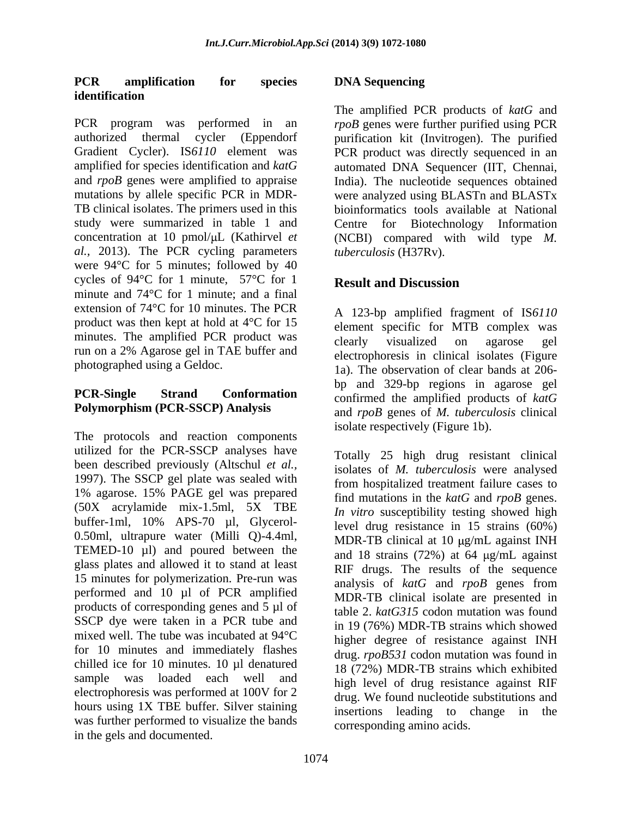### **PCR amplification for species identification**

PCR program was performed in an *rpoB* genes were further purified using PCR authorized thermal cycler (Eppendorf purification kit (Invitrogen). The purified Gradient Cycler). IS*6110* element was PCR product was directly sequenced in an amplified for species identification and *katG* automated DNA Sequencer (IIT, Chennai, and *rpoB* genes were amplified to appraise India). The nucleotide sequences obtained mutations by allele specific PCR in MDR- were analyzed using BLASTn and BLASTx TB clinical isolates. The primers used in this bioinformatics tools available at National study were summarized in table 1 and Centre for Biotechnology Information concentration at 10 pmol/ $\mu$ L (Kathirvel *et* (NCBI) compared with wild type *M*. *al.,* 2013). The PCR cycling parameters were 94°C for 5 minutes; followed by 40 cycles of 94 $\degree$ C for 1 minute, 57 $\degree$ C for 1 **Result and Discussion** minute and 74°C for 1 minute; and a final extension of 74°C for 10 minutes. The PCR product was then kept at hold at 4°C for 15 minutes. The amplified PCR product was elearly visualized on agarose gel run on a 2% Agarose gel in TAE buffer and

# **Polymorphism (PCR-SSCP) Analysis**

The protocols and reaction components utilized for the PCR-SSCP analyses have been described previously (Altschul *et al.,* 1997). The SSCP gel plate was sealed with 1% agarose. 15% PAGE gel was prepared (50X acrylamide mix-1.5ml, 5X TBE buffer-1ml, 10% APS-70 µl, Glycerol- 0.50ml, ultrapure water (Milli Q)-4.4ml, TEMED-10 µl) and poured between the glass plates and allowed it to stand at least 15 minutes for polymerization. Pre-run was performed and 10 µl of PCR amplified products of corresponding genes and 5 µl of SSCP dye were taken in a PCR tube and mixed well. The tube was incubated at 94°C for 10 minutes and immediately flashes chilled ice for 10 minutes. 10 µl denatured electrophoresis was performed at 100V for 2 hours using 1X TBE buffer. Silver staining<br>insertions leading to change in the was further performed to visualize the bands in the gels and documented.

# **DNA Sequencing**

The amplified PCR products of *katG* and Centre for Biotechnology Information *tuberculosis* (H37Rv).

# **Result and Discussion**

photographed using a Geldoc. 1a). The observation of clear bands at 206-**PCR-Single Strand Conformation** confirmed the amplified products of *katG* A 123-bp amplified fragment of IS*6110* element specific for MTB complex was clearly visualized on agarose gel electrophoresis in clinical isolates (Figure bp and 329-bp regions in agarose gel and *rpoB* genes of *M. tuberculosis* clinical isolate respectively (Figure 1b).

sample was loaded each well and high level of drug resistance against RIF Totally 25 high drug resistant clinical isolates of *M. tuberculosis* were analysed from hospitalized treatment failure cases to find mutations in the *katG* and *rpoB* genes. *In vitro* susceptibility testing showed high level drug resistance in 15 strains (60%) MDR-TB clinical at  $10 \mu g/mL$  against INH and 18 strains  $(72%)$  at 64  $\mu$ g/mL against RIF drugs. The results of the sequence analysis of *katG* and *rpoB* genes from MDR-TB clinical isolate are presented in table 2. *katG315* codon mutation was found in 19 (76%) MDR-TB strains which showed higher degree of resistance against INH drug. *rpoB531* codon mutation was found in 18 (72%) MDR-TB strains which exhibited drug. We found nucleotide substitutions and insertions leading to change in corresponding amino acids.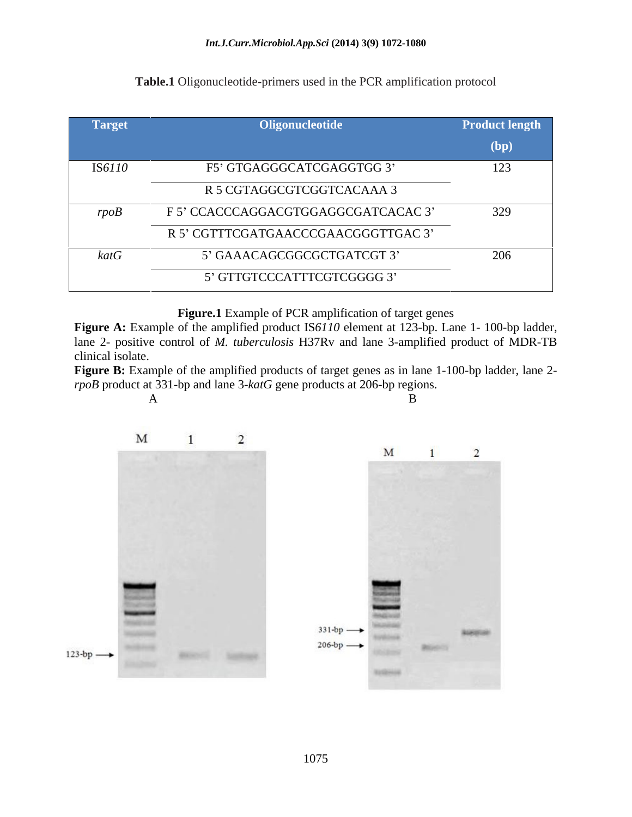| Target     | Oligonucleotide                     | <b>Product length</b> |
|------------|-------------------------------------|-----------------------|
|            |                                     | (bp)                  |
| IS6110     | F5' GTGAGGGCATCGAGGTGG 3'           | 123                   |
|            | R 5 CGTAGGCGTCGGTCACAAA 3           |                       |
| rpoB       | F 5' CCACCCAGGACGTGGAGGCGATCACAC 3' | 329                   |
|            | R 5' CGTTTCGATGAACCCGAACGGGTTGAC 3' |                       |
| $k$ at $G$ | 5' GAAACAGCGGCGCTGATCGT 3'          | 206                   |
|            | 5' GTTGTCCCATTTCGTCGGGG 3'          |                       |

### **Table.1** Oligonucleotide-primers used in the PCR amplification protocol

**Figure.1** Example of PCR amplification of target genes

**Figure A:** Example of the amplified product IS*6110* element at 123-bp. Lane 1- 100-bp ladder, lane 2- positive control of *M. tuberculosis* H37Rv and lane 3-amplified product of MDR-TB clinical isolate.

**Figure B:** Example of the amplified products of target genes as in lane 1-100-bp ladder, lane 2 *rpoB* product at 331-bp and lane 3-*katG* gene products at 206-bp regions.

A B

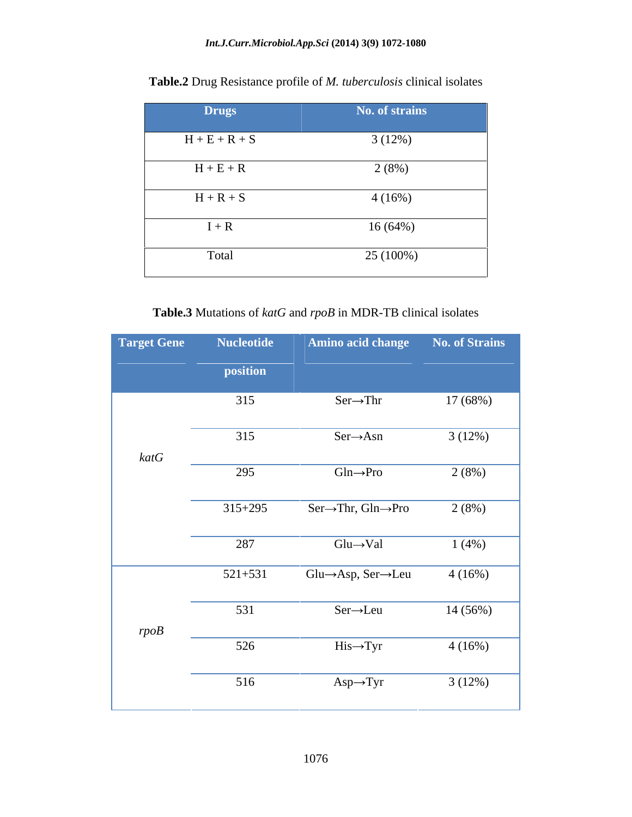| <b>Drugs</b>    | No. of strains |
|-----------------|----------------|
| $H + E + R + S$ | 3(12%)         |
| $H + E + R$     | 2(8%)          |
| $H + R + S$     | 4(16%)         |
| $I + R$         | 16(64%)        |
| Total           | 25 (100%)      |

**Table.2** Drug Resistance profile of *M. tuberculosis* clinical isolates

**Table.3** Mutations of *katG* and *rpoB* in MDR-TB clinical isolates

| <b>Target Gene</b> | <b>Nucleotide</b> | Amino acid change                            | No. of Strains |
|--------------------|-------------------|----------------------------------------------|----------------|
|                    | position          |                                              |                |
|                    |                   |                                              |                |
|                    | 315               | $Ser \rightarrow Thr$                        | 17 (68%)       |
|                    |                   |                                              |                |
|                    | 315               | $Ser \rightarrow Asn$                        | 3(12%)         |
| katG               |                   |                                              |                |
|                    | 295               | $Gln \rightarrow Pro$                        | 2(8%)          |
|                    |                   |                                              |                |
|                    | $315 + 295$       | $Ser\rightarrow Thr, Gln\rightarrow Pro$     | 2(8%)          |
|                    | 287               | $Glu \rightarrow Val$                        | 1(4%)          |
|                    |                   |                                              |                |
|                    | $521+531$         | $Glu \rightarrow Asp, Ser \rightarrow Leu$   | 4(16%)         |
|                    |                   |                                              |                |
|                    | 531               | $\overline{\text{Ser}\rightarrow\text{Leu}}$ | 14 (56%)       |
| rpoB               |                   |                                              |                |
|                    | $\overline{526}$  | $His \rightarrow Tyr$                        | 4(16%)         |
|                    |                   |                                              |                |
|                    | 516               | $Asp \rightarrow Tyr$                        | 3(12%)         |
|                    |                   |                                              |                |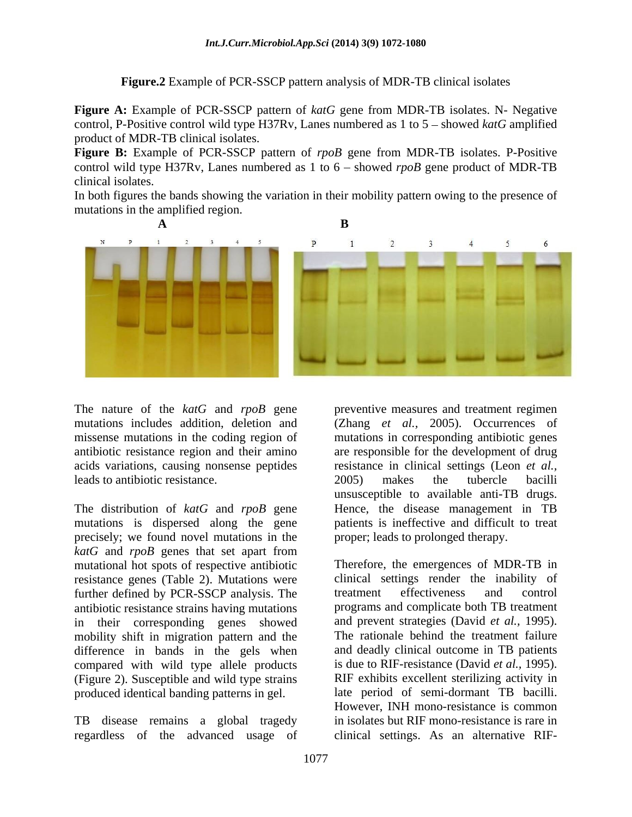**Figure.2** Example of PCR-SSCP pattern analysis of MDR-TB clinical isolates

**Figure A:** Example of PCR-SSCP pattern of *katG* gene from MDR-TB isolates. N- Negative control, P-Positive control wild type H37Rv, Lanes numbered as  $1$  to  $5$  – showed *katG* amplified product of MDR-TB clinical isolates.

**Figure B:** Example of PCR-SSCP pattern of *rpoB* gene from MDR-TB isolates. P-Positive control wild type H37Rv, Lanes numbered as 1 to  $6 -$  showed *rpoB* gene product of MDR-TB clinical isolates. In both figures the bands showing the variation in their mobility pattern owing to the presence of

mutations in the amplified region.



leads to antibiotic resistance.

The distribution of *katG* and *rpoB* gene precisely; we found novel mutations in the *katG* and *rpoB* genes that set apart from mutational hot spots of respective antibiotic resistance genes (Table 2). Mutations were clinical settings render the inability of further defined by PCR-SSCP analysis. The treatment effectiveness and control further defined by PCR-SSCP analysis. The in their corresponding genes showed mobility shift in migration pattern and the difference in bands in the gels when compared with wild type allele products (Figure 2). Susceptible and wild type strains produced identical banding patterns in gel.

TB disease remains a global tragedy regardless of the advanced usage of clinical settings. As an alternative RIF-

The nature of the *katG* and *rpoB* gene preventive measures and treatment regimen mutations includes addition, deletion and (Zhang *et al.,* 2005). Occurrences of missense mutations in the coding region of mutations in corresponding antibiotic genes antibiotic resistance region and their amino are responsible for the development of drug acids variations, causing nonsense peptides resistance in clinical settings (Leon *et al.,* mutations is dispersed along the gene patients is ineffective and difficult to treat 2005) makes the tubercle bacilli unsusceptible to available anti-TB drugs. Hence, the disease management in TB proper; leads to prolonged therapy.

antibiotic resistance strains having mutations programs and complicate both TB treatment Therefore, the emergences of MDR-TB in clinical settings render the inability of treatment effectiveness and control and prevent strategies (David *et al.,* 1995). The rationale behind the treatment failure and deadly clinical outcome in TB patients is due to RIF-resistance (David *et al.,* 1995). RIF exhibits excellent sterilizing activity in late period of semi-dormant TB bacilli. However, INH mono-resistance is common in isolates but RIF mono-resistance is rare in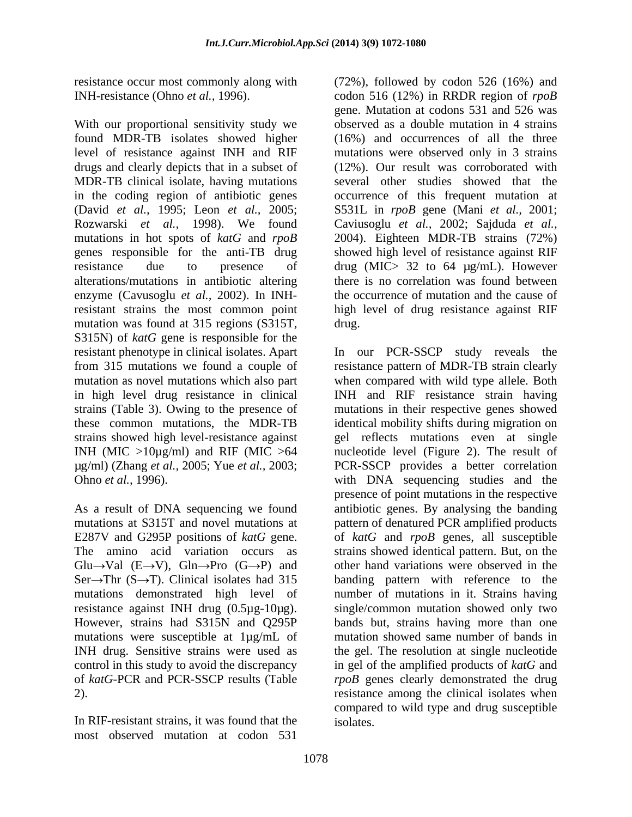found MDR-TB isolates showed higher level of resistance against INH and RIF mutations were observed only in 3 strains drugs and clearly depicts that in a subset of MDR-TB clinical isolate, having mutations in the coding region of antibiotic genes occurrence of this frequent mutation at (David *et al.,* 1995; Leon *et al.,* 2005; S531L in *rpoB* gene (Mani *et al.,* 2001; Rozwarski *et al.,* 1998). We found Caviusoglu *et al.,* 2002; Sajduda *et al.,* mutations in hot spots of *katG* and *rpoB* 2004). Eighteen MDR-TB strains (72%) genes responsible for the anti-TB drug showed high level of resistance against RIF resistance due to presence of drug (MIC> 32 to 64 µg/mL). However alterations/mutations in antibiotic altering enzyme (Cavusoglu *et al.,* 2002). In INH-the occurrence of mutation and the cause of resistant strains the most common point high level of drug resistance against RIF mutation was found at 315 regions (S315T, drug. S315N) of *katG* gene is responsible for the

The amino acid variation occurs as  $Glu \rightarrow Val$  (E $\rightarrow$ V),  $Gln \rightarrow Pro$  (G $\rightarrow$ P) and However, strains had S315N and Q295P mutations were susceptible at 1µg/mL of

most observed mutation at codon 531

resistance occur most commonly along with (72%), followed by codon 526 (16%) and INH-resistance (Ohno *et al.*, 1996). codon 516 (12%) in RRDR region of *rpoB*<br>gene. Mutation at codons 531 and 526 was<br>With our proportional sensitivity study we beserved as a double mutation in 4 strains codon 516 (12%) in RRDR region of *rpoB* gene. Mutation at codons 531 and 526 was observed as a double mutation in 4 strains (16%) and occurrences of all the three (12%). Our result was corroborated with several other studies showed that the there is no correlation was found between drug. **Example 2018** 

resistant phenotype in clinical isolates. Apart In our PCR-SSCP study reveals the from 315 mutations we found a couple of resistance pattern of MDR-TB strain clearly mutation as novel mutations which also part when compared with wild type allele. Both in high level drug resistance in clinical INH and RIF resistance strain having strains (Table 3). Owing to the presence of mutations in their respective genes showed these common mutations, the MDR-TB identical mobility shifts during migration on strains showed high level-resistance against gel reflects mutations even at single INH (MIC >10µg/ml) and RIF (MIC >64 nucleotide level (Figure 2). The result of µg/ml) (Zhang *et al.,* 2005; Yue *et al.,* 2003; PCR-SSCP provides a better correlation Ohno *et al.*, 1996).  $\qquad \qquad \text{with} \quad \text{DNA} \quad \text{sequencing} \quad \text{studies} \quad \text{and} \quad \text{the}$ As a result of DNA sequencing we found antibiotic genes. By analysing the banding mutations at S315T and novel mutations at pattern of denatured PCR amplified products E287V and G295P positions of *katG* gene. of *katG* and *rpoB* genes, all susceptible Ser $\rightarrow$ Thr (S $\rightarrow$ T). Clinical isolates had 315 banding pattern with reference to the mutations demonstrated high level of number of mutations in it. Strains having resistance against INH drug (0.5µg-10µg). single/common mutation showed only two INH drug. Sensitive strains were used as the gel. The resolution at single nucleotide control in this study to avoid the discrepancy in gel of the amplified products of *katG* and of *katG*-PCR and PCR-SSCP results (Table *rpoB* genes clearly demonstrated the drug 2).<br>
2). resistance among the clinical isolates when<br>
compared to wild type and drug susceptible<br>
In RIF-resistant strains, it was found that the isolates. presence of point mutations in the respective strains showed identical pattern. But, on the other hand variations were observed in the bands but, strains having more than one mutation showed same number of bands in resistance among the clinical isolates when compared to wild type and drug susceptible isolates.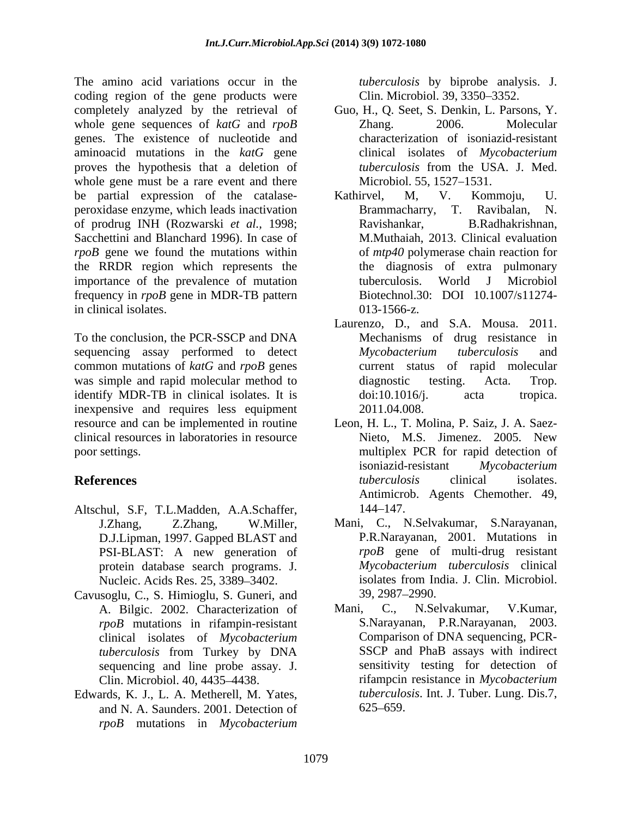The amino acid variations occur in the coding region of the gene products were completely analyzed by the retrieval of whole gene sequences of *katG* and *rpoB* Zhang. 2006. Molecular genes. The existence of nucleotide and aminoacid mutations in the *katG* gene proves the hypothesis that a deletion of *tuberculosis* from the USA. J. Med. whole gene must be a rare event and there be partial expression of the catalase-<br>Kathirvel, M, V. Kommoju, U. peroxidase enzyme, which leads inactivation Brammacharry, T. Ravibalan, N. of prodrug INH (Rozwarski *et al.,* 1998; Sacchettini and Blanchard 1996). In case of *rpoB* gene we found the mutations within the RRDR region which represents the importance of the prevalence of mutation tuberculosis. World J Microbiol frequency in *rpoB* gene in MDR-TB pattern<br>Biotechnol.30: DOI 10.1007/s11274in clinical isolates. 013-1566-z.

To the conclusion, the PCR-SSCP and DNA sequencing assay performed to detect Mycobacterium tuberculosis and common mutations of *katG* and *rpoB* genes was simple and rapid molecular method to diagnostic testing. Acta. Trop. identify MDR-TB in clinical isolates. It is  $\frac{d}{dt}$  doi:10.1016/j. acta tropica. inexpensive and requires less equipment 2011.04.008. resource and can be implemented in routine Leon, H. L., T. Molina, P. Saiz, J. A. Saez clinical resources in laboratories in resource

- Altschul, S.F, T.L.Madden, A.A.Schaffer, D.J.Lipman, 1997. Gapped BLAST and PSI-BLAST: A new generation of protein database search programs. J.
- Cavusoglu, C., S. Himioglu, S. Guneri, and *rpoB* mutations in rifampin-resistant clinical isolates of *Mycobacterium tuberculosis* from Turkey by DNA sequencing and line probe assay. J.
- and N. A. Saunders. 2001. Detection of 625–659. *rpoB* mutations in *Mycobacterium*

*tuberculosis* by biprobe analysis. J. Clin. Microbiol. 39, 3350 3352.

- Guo, H., Q. Seet, S. Denkin, L. Parsons, Y. Zhang. 2006. Molecular characterization of isoniazid-resistant clinical isolates of *Mycobacterium tuberculosis* from the USA. J. Med. Microbiol. 55, 1527-1531.
- Kathirvel, M, V. Kommoju, U. Brammacharry, Ravishankar, B.Radhakrishnan, M.Muthaiah, 2013. Clinical evaluation of *mtp40* polymerase chain reaction for the diagnosis of extra pulmonary tuberculosis. World J Microbiol Biotechnol.30: DOI 10.1007/s11274-<br>013-1566-z.
- Laurenzo, D., and S.A. Mousa. 2011. Mechanisms of drug resistance in *Mycobacterium tuberculosis* and current status of rapid molecular diagnostic testing. Acta. Trop. doi:10.1016/j. acta tropica. 2011.04.008.
- poor settings. multiplex PCR for rapid detection of **References** tuberculosis clinical isolates. Nieto, M.S. Jimenez. 2005. New isoniazid-resistant *Mycobacterium tuberculosis* clinical isolates. Antimicrob. Agents Chemother. 49, 144 147.
	- J.Zhang, Z.Zhang, W.Miller, Mani, C., N.Selvakumar, S.Narayanan, Nucleic. Acids Res. 25, 3389–3402.<br>
	Solates from India. J. Clin. Microbiol.<br>
	39, 2987–2990. P.R.Narayanan, 2001. Mutations in *rpoB* gene of multi-drug resistant *Mycobacterium tuberculosis* clinical isolates from India. J. Clin. Microbiol. 39, 2987 2990.
- A. Bilgic. 2002. Characterization of Mani, C., N.Selvakumar, V.Kumar, Clin. Microbiol. 40, 4435 4438. rifampcin resistance in *Mycobacterium*  Edwards, K. J., L. A. Metherell, M. Yates, *tuberculosis*. Int. J. Tuber. Lung. Dis.7, Mani, C., N.Selvakumar, V.Kumar, S.Narayanan, P.R.Narayanan, 2003. Comparison of DNA sequencing, PCR- SSCP and PhaB assays with indirect sensitivity testing for detection of *tuberculosis*. Int. J. Tuber. Lung. Dis.7,<br>625–659.